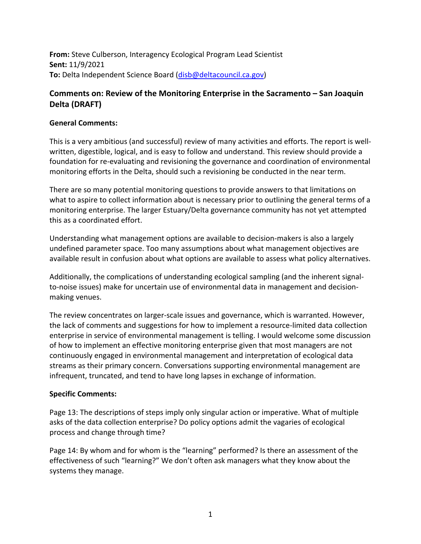**From:** Steve Culberson, Interagency Ecological Program Lead Scientist **Sent:** 11/9/2021 **To:** Delta Independent Science Board [\(disb@deltacouncil.ca.gov\)](mailto:disb@deltacouncil.ca.gov)

## **Comments on: Review of the Monitoring Enterprise in the Sacramento – San Joaquin Delta (DRAFT)**

## **General Comments:**

This is a very ambitious (and successful) review of many activities and efforts. The report is wellwritten, digestible, logical, and is easy to follow and understand. This review should provide a foundation for re-evaluating and revisioning the governance and coordination of environmental monitoring efforts in the Delta, should such a revisioning be conducted in the near term.

There are so many potential monitoring questions to provide answers to that limitations on what to aspire to collect information about is necessary prior to outlining the general terms of a monitoring enterprise. The larger Estuary/Delta governance community has not yet attempted this as a coordinated effort.

Understanding what management options are available to decision-makers is also a largely undefined parameter space. Too many assumptions about what management objectives are available result in confusion about what options are available to assess what policy alternatives.

Additionally, the complications of understanding ecological sampling (and the inherent signalto-noise issues) make for uncertain use of environmental data in management and decisionmaking venues.

The review concentrates on larger-scale issues and governance, which is warranted. However, the lack of comments and suggestions for how to implement a resource-limited data collection enterprise in service of environmental management is telling. I would welcome some discussion of how to implement an effective monitoring enterprise given that most managers are not continuously engaged in environmental management and interpretation of ecological data streams as their primary concern. Conversations supporting environmental management are infrequent, truncated, and tend to have long lapses in exchange of information.

## **Specific Comments:**

Page 13: The descriptions of steps imply only singular action or imperative. What of multiple asks of the data collection enterprise? Do policy options admit the vagaries of ecological process and change through time?

Page 14: By whom and for whom is the "learning" performed? Is there an assessment of the effectiveness of such "learning?" We don't often ask managers what they know about the systems they manage.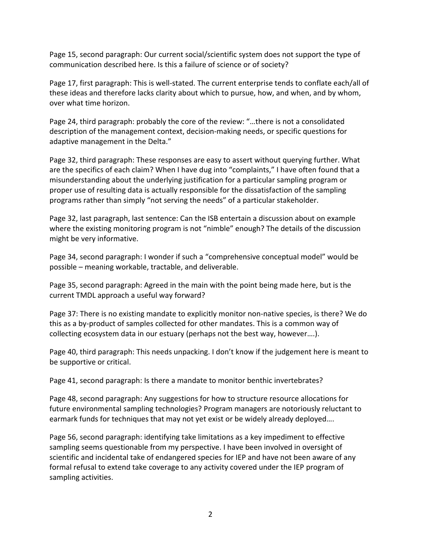Page 15, second paragraph: Our current social/scientific system does not support the type of communication described here. Is this a failure of science or of society?

Page 17, first paragraph: This is well-stated. The current enterprise tends to conflate each/all of these ideas and therefore lacks clarity about which to pursue, how, and when, and by whom, over what time horizon.

Page 24, third paragraph: probably the core of the review: "…there is not a consolidated description of the management context, decision-making needs, or specific questions for adaptive management in the Delta."

Page 32, third paragraph: These responses are easy to assert without querying further. What are the specifics of each claim? When I have dug into "complaints," I have often found that a misunderstanding about the underlying justification for a particular sampling program or proper use of resulting data is actually responsible for the dissatisfaction of the sampling programs rather than simply "not serving the needs" of a particular stakeholder.

Page 32, last paragraph, last sentence: Can the ISB entertain a discussion about on example where the existing monitoring program is not "nimble" enough? The details of the discussion might be very informative.

Page 34, second paragraph: I wonder if such a "comprehensive conceptual model" would be possible – meaning workable, tractable, and deliverable.

Page 35, second paragraph: Agreed in the main with the point being made here, but is the current TMDL approach a useful way forward?

Page 37: There is no existing mandate to explicitly monitor non-native species, is there? We do this as a by-product of samples collected for other mandates. This is a common way of collecting ecosystem data in our estuary (perhaps not the best way, however….).

Page 40, third paragraph: This needs unpacking. I don't know if the judgement here is meant to be supportive or critical.

Page 41, second paragraph: Is there a mandate to monitor benthic invertebrates?

Page 48, second paragraph: Any suggestions for how to structure resource allocations for future environmental sampling technologies? Program managers are notoriously reluctant to earmark funds for techniques that may not yet exist or be widely already deployed….

Page 56, second paragraph: identifying take limitations as a key impediment to effective sampling seems questionable from my perspective. I have been involved in oversight of scientific and incidental take of endangered species for IEP and have not been aware of any formal refusal to extend take coverage to any activity covered under the IEP program of sampling activities.